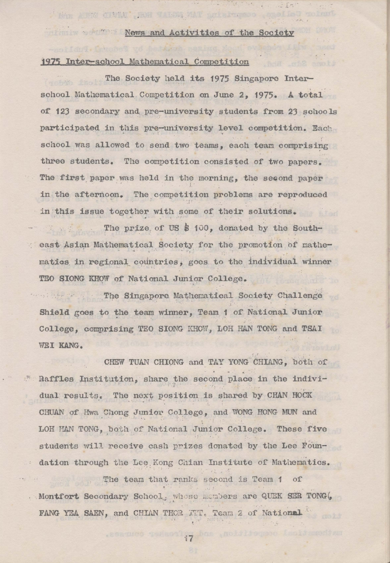## News and Activities of the Society

## 1975 Inter-school Mathematical Competition

A Nam Aunt Click , Roll Valora MAT pristups

The Society held its 1975 Singapore Interschool Mathematical Competition on June 2, 1975. A total of 123 secondary and pre-university students from 23 schools participated in this pre-university level competition. Each school was allowed to send two teams, each team comprising three students. The competition consisted of two papers. The first paper was held in the morning, the second paper in the afternoon. The competition problems are reproduced in this issue together with some of their solutions.

The prize of US \$ 100, donated by the Southeast Asian Mathematical Society for the promotion of mathematics in regional countries, goes to the individual winner TEO SIONG KHOW of National Junior College.

The Singapore Mathematical Society Challenge Shield goes to the team winner, Team 1 of National Junior College, comprising TEO SIONG KHOW, LOH HAN TONG and TSAI WEI KANG.

CHEW TUAN CHIONG and TAY YONG CHIANG, both of Raffles Institution, share the second place in the individual results. The next position is shared by CHAN HOCK CHUAN of Hwa Chong Junior College, and WONG HONG MUN and LOH HAN TONG, both of National Junior College. These five students will receive cash prizes donated by the Lee Foundation through the Lee Kong Chian Institute of Mathematics.

The team that ranks second is Team 1 of . Montfort Secondary School, whose members are QUEK SER TONG( FANG YEA SAEN, and CHIAN THOR ITT. Team 2 of National